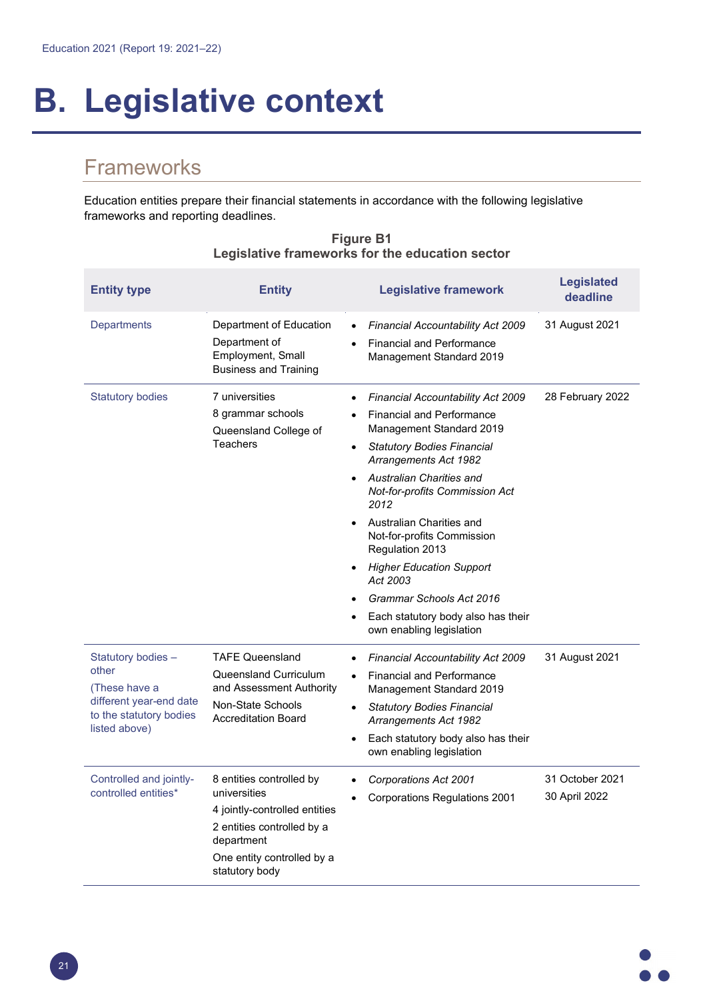# **B. Legislative context**

## **Frameworks**

Education entities prepare their financial statements in accordance with the following legislative frameworks and reporting deadlines.

| <b>Entity type</b>                                                                                                  | <b>Entity</b>                                                                                                                                                         | <b>Legislative framework</b>                                                                                                                                                                                                                                                                                                                                                                                                                                                                                                                          | <b>Legislated</b><br>deadline    |
|---------------------------------------------------------------------------------------------------------------------|-----------------------------------------------------------------------------------------------------------------------------------------------------------------------|-------------------------------------------------------------------------------------------------------------------------------------------------------------------------------------------------------------------------------------------------------------------------------------------------------------------------------------------------------------------------------------------------------------------------------------------------------------------------------------------------------------------------------------------------------|----------------------------------|
| <b>Departments</b>                                                                                                  | Department of Education<br>Department of<br>Employment, Small<br><b>Business and Training</b>                                                                         | Financial Accountability Act 2009<br>$\bullet$<br><b>Financial and Performance</b><br>$\bullet$<br>Management Standard 2019                                                                                                                                                                                                                                                                                                                                                                                                                           | 31 August 2021                   |
| <b>Statutory bodies</b>                                                                                             | 7 universities<br>8 grammar schools<br>Queensland College of<br>Teachers                                                                                              | <b>Financial Accountability Act 2009</b><br>$\bullet$<br><b>Financial and Performance</b><br>$\bullet$<br>Management Standard 2019<br><b>Statutory Bodies Financial</b><br>$\bullet$<br>Arrangements Act 1982<br><b>Australian Charities and</b><br><b>Not-for-profits Commission Act</b><br>2012<br>Australian Charities and<br>$\bullet$<br>Not-for-profits Commission<br>Regulation 2013<br><b>Higher Education Support</b><br>Act 2003<br>Grammar Schools Act 2016<br>Each statutory body also has their<br>$\bullet$<br>own enabling legislation | 28 February 2022                 |
| Statutory bodies -<br>other<br>(These have a<br>different year-end date<br>to the statutory bodies<br>listed above) | <b>TAFE Queensland</b><br>Queensland Curriculum<br>and Assessment Authority<br>Non-State Schools<br><b>Accreditation Board</b>                                        | <b>Financial Accountability Act 2009</b><br>$\bullet$<br><b>Financial and Performance</b><br>$\bullet$<br>Management Standard 2019<br><b>Statutory Bodies Financial</b><br>$\bullet$<br><b>Arrangements Act 1982</b><br>Each statutory body also has their<br>$\bullet$<br>own enabling legislation                                                                                                                                                                                                                                                   | 31 August 2021                   |
| Controlled and jointly-<br>controlled entities*                                                                     | 8 entities controlled by<br>universities<br>4 jointly-controlled entities<br>2 entities controlled by a<br>department<br>One entity controlled by a<br>statutory body | Corporations Act 2001<br>$\bullet$<br>Corporations Regulations 2001                                                                                                                                                                                                                                                                                                                                                                                                                                                                                   | 31 October 2021<br>30 April 2022 |

#### **Figure B1 Legislative frameworks for the education sector**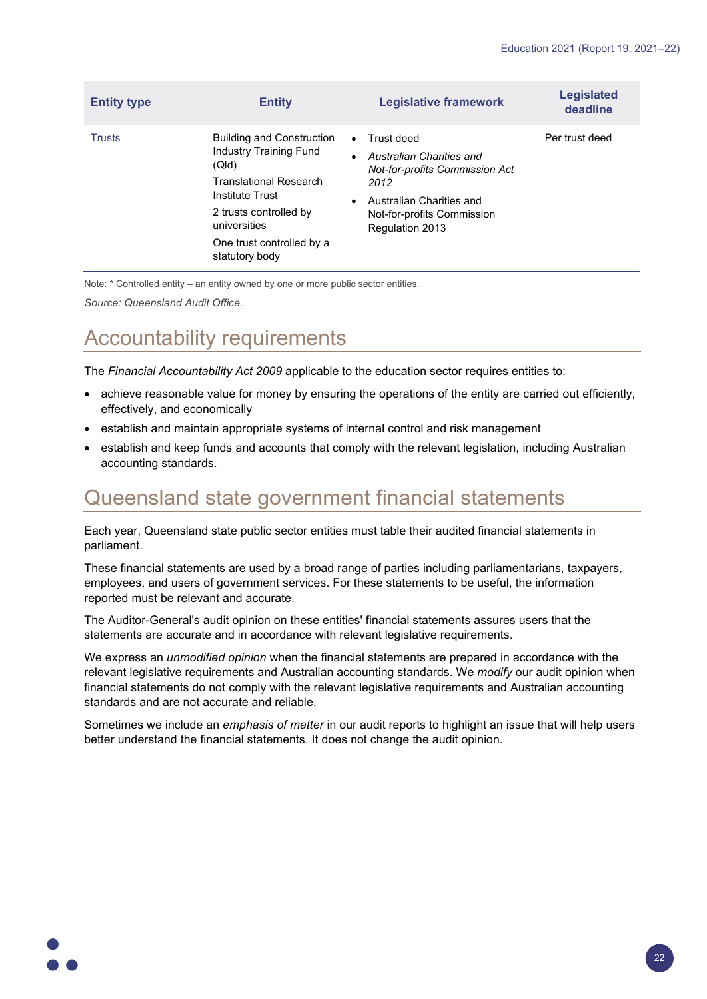| <b>Entity type</b> | <b>Entity</b>                                                                                                                                                                                                    | <b>Legislative framework</b>                                                                                                                                                                                | <b>Legislated</b><br>deadline |
|--------------------|------------------------------------------------------------------------------------------------------------------------------------------------------------------------------------------------------------------|-------------------------------------------------------------------------------------------------------------------------------------------------------------------------------------------------------------|-------------------------------|
| <b>Trusts</b>      | <b>Building and Construction</b><br>Industry Training Fund<br>(QId)<br><b>Translational Research</b><br>Institute Trust<br>2 trusts controlled by<br>universities<br>One trust controlled by a<br>statutory body | Trust deed<br>$\bullet$<br>Australian Charities and<br>$\bullet$<br><b>Not-for-profits Commission Act</b><br>2012<br>Australian Charities and<br>$\bullet$<br>Not-for-profits Commission<br>Regulation 2013 | Per trust deed                |
|                    |                                                                                                                                                                                                                  |                                                                                                                                                                                                             |                               |

Note: \* Controlled entity – an entity owned by one or more public sector entities.

*Source: Queensland Audit Office.*

## Accountability requirements

The *Financial Accountability Act 2009* applicable to the education sector requires entities to:

- achieve reasonable value for money by ensuring the operations of the entity are carried out efficiently, effectively, and economically
- establish and maintain appropriate systems of internal control and risk management
- establish and keep funds and accounts that comply with the relevant legislation, including Australian accounting standards.

## Queensland state government financial statements

Each year, Queensland state public sector entities must table their audited financial statements in parliament.

These financial statements are used by a broad range of parties including parliamentarians, taxpayers, employees, and users of government services. For these statements to be useful, the information reported must be relevant and accurate.

The Auditor-General's audit opinion on these entities' financial statements assures users that the statements are accurate and in accordance with relevant legislative requirements.

We express an *unmodified opinion* when the financial statements are prepared in accordance with the relevant legislative requirements and Australian accounting standards. We *modify* our audit opinion when financial statements do not comply with the relevant legislative requirements and Australian accounting standards and are not accurate and reliable.

Sometimes we include an *emphasis of matter* in our audit reports to highlight an issue that will help users better understand the financial statements. It does not change the audit opinion.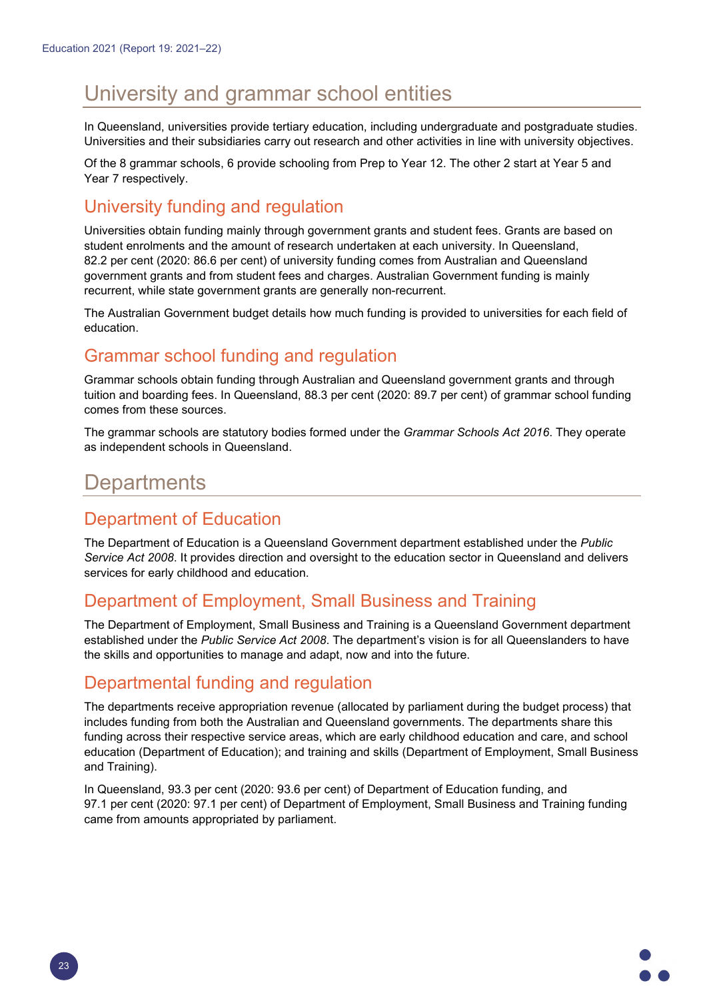## University and grammar school entities

In Queensland, universities provide tertiary education, including undergraduate and postgraduate studies. Universities and their subsidiaries carry out research and other activities in line with university objectives.

Of the 8 grammar schools, 6 provide schooling from Prep to Year 12. The other 2 start at Year 5 and Year 7 respectively.

#### University funding and regulation

Universities obtain funding mainly through government grants and student fees. Grants are based on student enrolments and the amount of research undertaken at each university. In Queensland, 82.2 per cent (2020: 86.6 per cent) of university funding comes from Australian and Queensland government grants and from student fees and charges. Australian Government funding is mainly recurrent, while state government grants are generally non-recurrent.

The Australian Government budget details how much funding is provided to universities for each field of education.

#### Grammar school funding and regulation

Grammar schools obtain funding through Australian and Queensland government grants and through tuition and boarding fees. In Queensland, 88.3 per cent (2020: 89.7 per cent) of grammar school funding comes from these sources.

The grammar schools are statutory bodies formed under the *Grammar Schools Act 2016*. They operate as independent schools in Queensland.

## **Departments**

#### Department of Education

The Department of Education is a Queensland Government department established under the *Public Service Act 2008*. It provides direction and oversight to the education sector in Queensland and delivers services for early childhood and education.

#### Department of Employment, Small Business and Training

The Department of Employment, Small Business and Training is a Queensland Government department established under the *Public Service Act 2008*. The department's vision is for all Queenslanders to have the skills and opportunities to manage and adapt, now and into the future.

#### Departmental funding and regulation

The departments receive appropriation revenue (allocated by parliament during the budget process) that includes funding from both the Australian and Queensland governments. The departments share this funding across their respective service areas, which are early childhood education and care, and school education (Department of Education); and training and skills (Department of Employment, Small Business and Training).

In Queensland, 93.3 per cent (2020: 93.6 per cent) of Department of Education funding, and 97.1 per cent (2020: 97.1 per cent) of Department of Employment, Small Business and Training funding came from amounts appropriated by parliament.